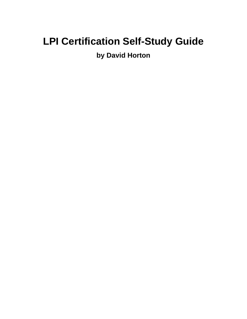## **LPI Certification Self-Study Guide**

### **by David Horton**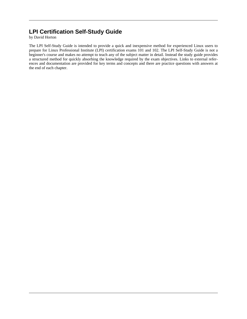#### **LPI Certification Self-Study Guide**

by David Horton

The LPI Self-Study Guide is intended to provide a quick and inexpensive method for experienced Linux users to prepare for Linux Professional Institute (LPI) certification exams 101 and 102. The LPI Self-Study Guide is not a beginner's course and makes no attempt to teach any of the subject matter in detail. Instead the study guide provides a structured method for quickly absorbing the knowledge required by the exam objectives. Links to external references and documentation are provided for key terms and concepts and there are practice questions with answers at the end of each chapter.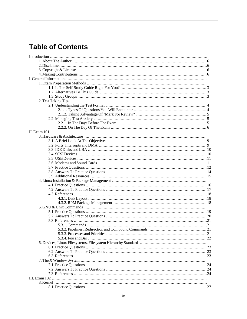#### **Table of Contents**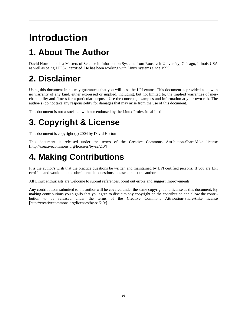# **Introduction**

## <span id="page-5-0"></span>**1. About The Author**

David Horton holds a Masters of Science in Information Systems from Roosevelt University, Chicago, Illinois USA as well as being LPIC-1 certified. He has been working with Linux systems since 1995.

## <span id="page-5-1"></span>**2. Disclaimer**

Using this document in no way guarantees that you will pass the LPI exams. This document is provided as-is with no warranty of any kind, either expressed or implied, including, but not limited to, the implied warranties of merchantability and fitness for a particular purpose. Use the concepts, examples and information at your own risk. The author(s) do not take any responsibility for damages that may arise from the use of this document.

<span id="page-5-2"></span>This document is not associated with nor endorsed by the Linux Professional Institute.

## **3. Copyright & License**

This document is copyright (c) 2004 by David Horton

This document is released under the terms of the Creative Commons [Attribution-ShareAlike license](http://creativecommons.org/licenses/by-sa/2.0/) [http://creativecommons.org/licenses/by-sa/2.0/]

## <span id="page-5-3"></span>**4. Making Contributions**

It is the author's wish that the practice questions be written and maintained by LPI certified persons. If you are LPI certified and would like to submit practice questions, please contact the author.

All Linux enthusiasts are welcome to submit references, point out errors and suggest improvements.

Any contributions submited to the author will be covered under the same copyright and license as this document. By making contributions you signify that you agree to disclaim any copyright on the contribution and allow the contribution to be released under the terms of the Creative Commons [Attribution-ShareAlike license](http://creativecommons.org/licenses/by-sa/2.0/) [http://creativecommons.org/licenses/by-sa/2.0/].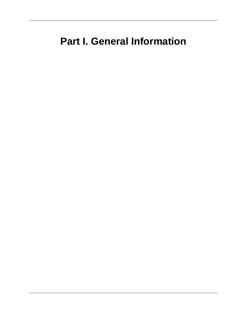## **Part I. General Information**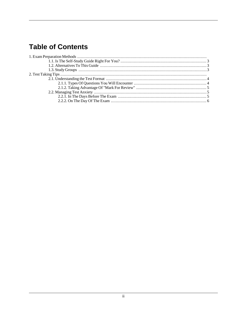#### **Table of Contents**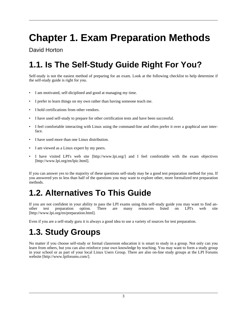# **Chapter 1. Exam Preparation Methods**

#### David Horton

## <span id="page-8-0"></span>**1.1. Is The Self-Study Guide Right For You?**

Self-study is not the easiest method of preparing for an exam. Look at the following checklist to help determine if the self-study guide is right for you.

- I am motivated, self-diciplined and good at managing my time.
- I prefer to learn things on my own rather than having someone teach me.
- I hold certifications from other vendors.
- I have used self-study to prepare for other certification tests and have been successful.
- I feel comfortable interacting with Linux using the command-line and often prefer it over a graphical user interface.
- I have used more than one Linux distribution.
- I am viewed as a Linux expert by my peers.
- I have visited [LPI's web site](http://www.lpi.org/) [http://www.lpi.org/] and I feel comfortable with the [exam objectives](http://www.lpi.org/en/lpic.html) [http://www.lpi.org/en/lpic.html].

If you can answer yes to the majority of these questions self-study may be a good test preparation method for you. If you answered yes to less than half of the questions you may want to explore other, more formalized test preparation methods.

### <span id="page-8-1"></span>**1.2. Alternatives To This Guide**

If you are not confident in your ability to pass the LPI exams using this self-study guide you may want to find an-<br>other test preparation option. There are many resources listed on LPI's web site other test preparation option. There are many [resources listed on LPI's web site](http://www.lpi.org/en/preparation.html) [http://www.lpi.org/en/preparation.html].

<span id="page-8-2"></span>Even if you are a self-study guru it is always a good idea to use a variety of sources for test preparation.

## **1.3. Study Groups**

No matter if you choose self-study or formal classroom education it is smart to study in a group. Not only can you learn from others, but you can also reinforce your own knowledge by teaching. You may want to form a study group in your school or as part of your local Linux Users Group. There are also on-line study groups at the [LPI Forums](http://www.lpiforums.com/) [website](http://www.lpiforums.com/) [http://www.lpiforums.com/].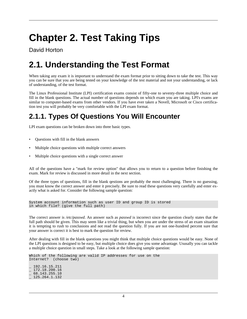## **Chapter 2. Test Taking Tips**

David Horton

## <span id="page-9-0"></span>**2.1. Understanding the Test Format**

When taking any exam it is important to understand the exam format prior to sitting down to take the test. This way you can be sure that you are being tested on your knowledge of the test material and not your understanding, or lack of understanding, of the test format.

The Linux Professional Institute (LPI) certification exams consist of fifty-one to seventy-three multiple choice and fill in the blank questions. The actual number of questions depends on which exam you are taking. LPI's exams are similar to computer-based exams from other vendors. If you have ever taken a Novell, Microsoft or Cisco certification test you will probably be very comfortable with the LPI exam format.

#### <span id="page-9-1"></span>**2.1.1. Types Of Questions You Will Encounter**

LPI exam questions can be broken down into three basic types.

- Questions with fill in the blank answers
- Multiple choice questions with multiple correct answers
- Multiple choice questions with a single correct answer

All of the questions have a "mark for review option" that allows you to return to a question before finishing the exam. Mark for review is discussed in more detail in the next section.

Of the three types of questions, fill in the blank qestions are probably the most challenging. There is no guessing, you must know the correct answer and enter it precisely. Be sure to read these questions very carefully and enter exactly what is asked for. Consider the following sample question:

```
System account information such as user ID and group ID is stored
in which file? (give the full path)
```
The correct answer is */etc/passwd*. An answer such as *passwd* is incorrect since the question clearly states that the full path should be given. This may seem like a trivial thing, but when you are under the stress of an exam situation it is tempting to rush to conclusions and not read the question fully. If you are not one-hundred percent sure that your answer is correct it is best to mark the question for review.

After dealing with fill in the blank questions you might think that multiple choice questions would be easy. None of the LPI questions is designed to be easy, but multiple choice does give you some advantage. Ususally you can tackle a multiple choice question in small steps. Take a look at the following sample question:

Which of the following are valid IP addresses for use on the Internet? (choose two)

\_ 192.16.15.211 \_ 172.18.200.16 \_ 68.143.255.10 \_ 125.264.1.132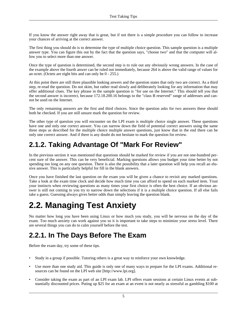If you know the answer right away that is great, but if not there is a simple procedure you can follow to increase your chances of arriving at the correct answer.

The first thing you should do is to determine the type of multiple choice question. This sample question is a multiple answer type. You can figure this out by the fact that the question says, "choose two" and that the computer will allow you to select more than one answer.

Once the type of question is determined, the second step is to rule out any obviously wrong answers. In the case of the example above the fourth anwer can be ruled out immediately, because 264 is above the valid range of values for an octet. (Octets are eight bits and can only be 0 - 255.)

At this point there are still three plausible looking anwers and the question states that only two are correct. As a third step, re-read the question. Do not skim, but rather read slowly and deliberately looking for any information that may offer additional clues. The key phrase in the sample question is "for use on the Internet." This should tell you that the second answer is incorrect, because 172.18.200.16 belongs to the "class B reserved" range of addresses and cannot be used on the Internet.

The only remaining answers are the first and third choices. Since the question asks for two answers these should both be checked. If you are still unsure mark the question for review.

The other type of question you will encounter on the LPI exam is multiple choice single answer. These questions have one and only one correct answer. You can narrow down the field of potential correct answers using the same three steps as described for the multiple choice multiple answer questions, just know that in the end there can be only one correct answer. And if there is any doubt do not hesitate to mark the question for review.

#### <span id="page-10-0"></span>**2.1.2. Taking Advantage Of "Mark For Review"**

In the previous section it was mentioned that questions should be marked for review if you are not one-hundred percent sure of the answer. This can be very beneficial. Marking questions allows you budget your time better by not spending too long on any one question. There is also the possibility that a later question will help you recall an elusive answer. This is particularly helpful for fill in the blank answers.

Once you have finished the last question on the exam you will be given a chance to revisit any marked questions. Take a look at the exam time clock and decide how much time you can afford to spend on each marked item. Trust your instincts when reviewing questions as many times your first choice is often the best choice. If an obvious answer is still not coming to you try to narrow down the selections if it is a multiple choice question. If all else fails take a guess. Guessing always gives better odds than simply leaving the question blank.

### <span id="page-10-1"></span>**2.2. Managing Test Anxiety**

No matter how long you have been using Linux or how much you study, you will be nervous on the day of the exam. Too much anxiety can work against you so it is important to take steps to minimize your stress level. There are several things you can do to calm yourself before the test.

#### <span id="page-10-2"></span>**2.2.1. In The Days Before The Exam**

Before the exam day, try some of these tips.

- Study in a group if possible. Tutoring others is a great way to reinforce your own knowledge.
- Use more than one study aid. This guide is only one of many ways to prepare for the LPI exams. Additional resources can be found on the [LPI web site](http://www.lpi.org) [http://www.lpi.org].
- Consider taking the exam as part of an LPI exam lab. LPI offers exam sessions at certain Linux events at substantially discounted prices. Puting up \$25 for an exam at an event is not nearly as stressful as gambling \$100 at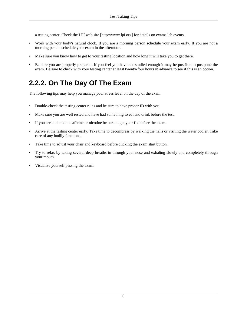a testing center. Check the [LPI web site](http://www.lpi.org) [http://www.lpi.org] for details on exams lab events.

- Work with your body's natural clock. If you are a morning person schedule your exam early. If you are not a morning person schedule your exam in the afternoon.
- Make sure you know how to get to your testing location and how long it will take you to get there.
- Be sure you are properly prepared. If you feel you have not studied enough it may be possible to postpone the exam. Be sure to check with your testing center at least twenty-four hours in advance to see if this is an option.

#### <span id="page-11-0"></span>**2.2.2. On The Day Of The Exam**

The following tips may help you manage your stress level on the day of the exam.

- Double-check the testing center rules and be sure to have proper ID with you.
- Make sure you are well rested and have had something to eat and drink before the test.
- If you are addicted to caffeine or nicotine be sure to get your fix before the exam.
- Arrive at the testing center early. Take time to decompress by walking the halls or visiting the water cooler. Take care of any bodily functions.
- Take time to adjust your chair and keyboard before clicking the exam start button.
- Try to relax by taking several deep breaths in through your nose and exhaling slowly and completely through your mouth.
- Visualize yourself passing the exam.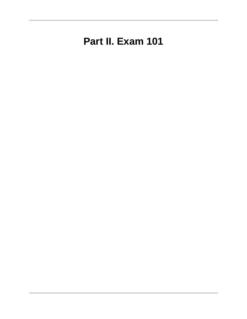## **Part II. Exam 101**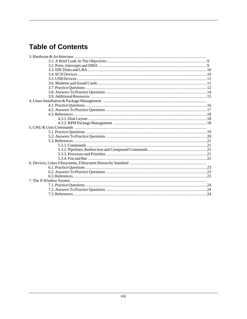#### **Table of Contents**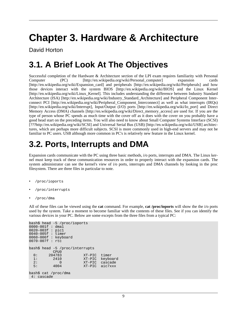## **Chapter 3. Hardware & Architecture**

David Horton

### <span id="page-14-0"></span>**3.1. A Brief Look At The Objectives**

Successful completion of the Hardware & Architecture section of the LPI exam requires familiarity with [Personal](http://en.wikipedia.org/wiki/Personal_computer) [Computer \(PC\)](http://en.wikipedia.org/wiki/Personal_computer) [http://en.wikipedia.org/wiki/Personal\_computer] [expansion cards](http://en.wikipedia.org/wiki/Expansion_card) [http://en.wikipedia.org/wiki/Expansion\_card] and [peripherals](http://en.wikipedia.org/wiki/Peripherals) [http://en.wikipedia.org/wiki/Peripherals] and how those devices interact with the system [BIOS](http://en.wikipedia.org/wiki/BIOS) [http://en.wikipedia.org/wiki/BIOS] and the [Linux Kernel](http://en.wikipedia.org/wiki/Linux_Kernel) [http://en.wikipedia.org/wiki/Linux\_Kernel]. This includes understanding the difference between [Industry Standard](http://en.wikipedia.org/wiki/Industry_Standard_Architecture) [Architecture \(ISA\)](http://en.wikipedia.org/wiki/Industry_Standard_Architecture) [http://en.wikipedia.org/wiki/Industry\_Standard\_Architecture] and [Peripheral Component](http://en.wikipedia.org/wiki/Peripheral_Component_Interconnect) Inter[connect PCI](http://en.wikipedia.org/wiki/Peripheral_Component_Interconnect) [http://en.wikipedia.org/wiki/Peripheral\_Component\_Interconnect] as well as what [interrupts \(IRQs\)](http://en.wikipedia.org/wiki/Interrupt) [http://en.wikipedia.org/wiki/Interrupt], [Input/Output \(I/O\) ports](http://en.wikipedia.org/wiki/Io_port) [http://en.wikipedia.org/wiki/Io\_port] and [Direct](http://en.wikipedia.org/wiki/Direct_memory_access) [Memory Access \(DMA\) channels](http://en.wikipedia.org/wiki/Direct_memory_access) [http://en.wikipedia.org/wiki/Direct\_memory\_access] are used for. If you are the type of person whose PC spends as much time with the cover off as it does with the cover on you probably have a good head start on the preceding items. You will also need to know about [Small Computer Systems Interface \(SCSI\)](???http://en.wikipedia.org/wiki/SCSI) [???http://en.wikipedia.org/wiki/SCSI] and [Universal Serial Bus \(USB\)](http://en.wikipedia.org/wiki/USB) [http://en.wikipedia.org/wiki/USB] architectures, which are perhaps more difficult subjects. SCSI is more commonly used in high-end servers and may not be familiar to PC users. USB although more common in PC's is relatively new feature in the Linux kernel.

### <span id="page-14-1"></span>**3.2. Ports, Interrupts and DMA**

Expansion cards communicate with the PC using three basic methods, i/o ports, interrupts and DMA. The Linux kernel must keep track of these communication resources in order to properly interact with the expansion cards. The system administrator can see the kernel's view of i/o ports, interrupts and DMA channels by looking in the proc filesystem. There are three files in particular to note.

- /proc/ioports
- /proc/interrupts
- /proc/dma

All of these files can be viewed using the **cat** command. For example, **cat /proc/ioports** will show the the i/o ports used by the system. Take a moment to become familiar with the contents of these files. See if you can identify the various devices in your PC. Below are some excepts from the three files from a typical PC:

```
bash$ head -5 /proc/ioports
0000-001f : dma1
0020-003f : pic1
0040-005f : timer
0060-006f : keyboard
0070-007f : rtc
bash$ head -5 /proc/interrupts
         CPU0<br>204783
  0: 204783 XT-PIC timer<br>1: 2410 XT-PIC keybo
  1: 2410 XT-PIC keyboard<br>2: 0 XT-PIC cascade
  2: 0 XT-PIC cascade
                                  aic7xxx
bash$ cat /proc/dma
4: cascade
```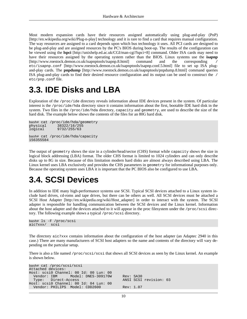Most modern expansion cards have their resources assigned automatically using [plug-and-play \(PnP\)](http://en.wikipedia.org/wiki/Plug-n-play) [http://en.wikipedia.org/wiki/Plug-n-play] technology and it is rare to find a card that requires manual configuration. The way resources are assigned to a card depends upon which bus technology it uses. All PCI cards are designed to be plug-and-play and are assigned resources by the PC's BIOS during boot-up. The results of the configuration can be viewed using the **[lspc](http://unixhelp.ed.ac.uk/CGI/man-cgi?lspci+8)i** [http://unixhelp.ed.ac.uk/CGI/man-cgi?lspci+8] command. Older ISA cards may need to have their resources assigned by the operating system rather than the BIOS. Linux systems use the **[isapnp](http://www.roestock.demon.co.uk/isapnptools/isapnp.8.html)** [http://www.roestock.demon.co.uk/isapnptools/isapnp.8.html] command and the corresponding / [etc/isapnp.conf](http://www.roestock.demon.co.uk/isapnptools/isapnp.conf.5.html) [http://www.roestock.demon.co.uk/isapnptools/isapnp.conf.5.html] file to set up ISA plugand-play cards. The **[pnpdump](http://www.roestock.demon.co.uk/isapnptools/pnpdump.8.html)** [http://www.roestock.demon.co.uk/isapnptools/pnpdump.8.html] command queries ISA plug-and-play cards to find their desired resource configuration and its output can be used to construct the / etc/pnp.conf file.

#### <span id="page-15-0"></span>**3.3. IDE Disks and LBA**

Exploration of the /proc/ide directory reveals information about IDE devices present in the system. Of particular interest is the /proc/ide/hda directory since it contains information about the first, bootable IDE hard disk in the system. Two files in the /proc/ide/hda directory, capacity and geometry, are used to describe the size of the hard disk. The example below shows the contents of the files for an 80G hard disk.

```
bash# cat /proc/ide/hda/geometry<br>physical 38322/16/255
                physical 38322/16/255
logical 9732/255/63
bash# cat /proc/ide/hda/capacity
156355584
```
The output of geometry shows the size in a cylinder/head/sector (CHS) format while capacity shows the size in logical block addressing (LBA) format. The older CHS format is limited to 1024 cylinders and can only describe disks up to 8G in size. Because of this limitation modern hard disks are almost always described using LBA. The Linux kernel uses LBA exclusively and provides the CHS parameters in geometry for informational purposes only. Because the operating system uses LBA it is important that the PC BIOS also be configured to use LBA.

### <span id="page-15-1"></span>**3.4. SCSI Devices**

In addition to IDE many high-performance systems use SCSI. Typical SCSI devices attached to a Linux system include hard drives, cd-roms and tape drives, but there can be others as well. All SCSI devices must be attached a [SCSI Host Adapter](http://en.wikipedia.org/wiki/Host_adapter) [http://en.wikipedia.org/wiki/Host\_adapter] in order to interact with the system. The SCSI adapter is responsible for handling communication between the SCSI devices and the Linux kernel. Information about the host adapter and the devices attached to it will appear in the proc filesystem under the /proc/scsi directory. The following example shows a typical /proc/scsi directory.

```
bash# ls -F /proc/scsi
aic7xxx/ scsi
```
The directory aic7xxx contains information about the configuration of the host adapter (an Adaptec 2940 in this case.) There are many manufacturers of SCSI host adapters so the name and contents of the directory will vary depending on the partcular setup.

There is also a file named /proc/scsi/scsi that shows all SCSI devices as seen by the Linux kernel. An example is shown below.

| bash# cat /proc/scsi/scsi              |           |                        |  |
|----------------------------------------|-----------|------------------------|--|
| Attached devices:                      |           |                        |  |
| Host: scsi0 Channel: 00 Id: 00 Lun: 00 |           |                        |  |
| Vendor: IBM Model: DNES-309170W        | Rev: SA30 |                        |  |
| Type: Direct-Access                    |           | ANSI SCSI revision: 03 |  |
| Host: scsi0 Channel: 00 Id: 04 Lun: 00 |           |                        |  |
| Vendor: PHILIPS Model: CDD2600         | Rev: 1.07 |                        |  |
|                                        |           |                        |  |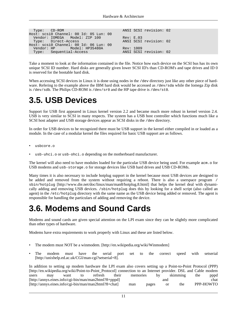| Type: CD-ROM |                                        |           | ANSI SCSI revision: 02 |  |
|--------------|----------------------------------------|-----------|------------------------|--|
|              | Host: scsi0 Channel: 00 Id: 05 Lun: 00 |           |                        |  |
|              | Vendor: IOMEGA Model: ZIP 100          | Rev: E.03 |                        |  |
|              | Type: Direct-Access                    |           | ANSI SCSI revision: 02 |  |
|              | Host: scsi0 Channel: 00 Id: 06 Lun: 00 |           |                        |  |
|              | Vendor: HP Model: HP35480A             | Rev: 1009 |                        |  |
|              | Type: Sequential-Access                |           | ANSI SCSI revision: 02 |  |

Take a moment to look at the information contained in the file. Notice how each device on the SCSI bus has its own unique SCSI ID number. Hard disks are generally given lower SCSI ID's than CD-ROM's and tape drives and ID 0 is reserved for the bootable hard disk.

When accessing SCSI devices in Linux it is done using nodes in the /dev directory just like any other piece of hardware. Refering to the example above the IBM hard disk would be accessed as /dev/sda while the Iomega Zip disk is /dev/sdb. The Philips CD-ROM is /dev/sr0 and the HP tape drive is /dev/st0.

### <span id="page-16-0"></span>**3.5. USB Devices**

Support for USB first appeared in Linux kernel version 2.2 and became much more robust in kernel version 2.4. USB is very similar to SCSI in many respects. The system has a USB host controller which functions much like a SCSI host adapter and USB storage devices appear as SCSI disks in the /dev directory.

In order for USB devices to be recognized there must be USB support in the kernel either compiled in or loaded as a module. In the case of a modular kernel the files required for basic USB support are as follows.

- usbcore.o
- usb-uhci.o or usb-ohci.o depending on the motherboard manufacturer.

The kernel will also need to have modules loaded for the particular USB device being used. For example acm.o for USB modems and usb-storage.o for storage devices like USB hard drives and USB CD-ROMs.

Many times it is also necessary to include hotplug support in the kernel because most USB devices are designed to be added and removed from the system without requiring a reboot. There is also a userspace program / [sbin/hotplug](http://www.die.net/doc/linux/man/man8/hotplug.8.html) [http://www.die.net/doc/linux/man/man8/hotplug.8.html] that helps the kernel deal with dynamically adding and removing USB devices. /sbin/hotplug does this by looking for a shell script (also called an agent) in the /etc/hotplug directory with the same name as the USB device being added or removed. The agent is responsible for handling the particulars of adding and removing the device.

### <span id="page-16-1"></span>**3.6. Modems and Sound Cards**

Modems and sound cards are given special attention on the LPI exam since they can be slightly more complicated than other types of hardware.

Modems have extra requirements to work properly with Linux and these are listed below.

- The modem must NOT be a [winmodem](http://en.wikipedia.org/wiki/Winmodem). [http://en.wikipedia.org/wiki/Winmodem]
- The modem must have the serial port set to the correct speed with [setserial](http://unixhelp.ed.ac.uk/CGI/man-cgi?setserial+8) [http://unixhelp.ed.ac.uk/CGI/man-cgi?setserial+8].

In addition to setting up modem hardware the LPI exam also covers setting up a [Point-to-Point Protocol \(PPP\)](http://en.wikipedia.org/wiki/Point-to-Point_Protocol) [http://en.wikipedia.org/wiki/Point-to-Point Protocol] connection to an Internet provider. DSL and Cable modem users may want to refresh their memories by skimming the [pppd](http://annys.eines.info/cgi-bin/man/man2html?8+pppd) [http://annys.eines.info/cgi-bin/man/man2html?8+pppd] and [chat](http://annys.eines.info/cgi-bin/man/man2html?8+chat) [http://annys.eines.info/cgi-bin/man/man2html?8+chat] man pages or the [PPP-HOWTO](http://www.tldp.org/HOWTO/PPP-HOWTO/index.html)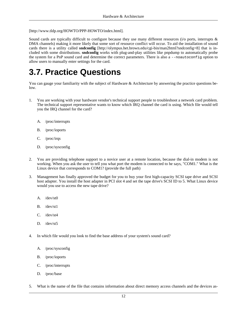[http://www.tldp.org/HOWTO/PPP-HOWTO/index.html].

Sound cards are typically difficult to configure because they use many different resources (i/o ports, interrupts & DMA channels) making it more likely that some sort of resource conflict will occur. To aid the installation of sound cards there is a utility called **[sndconfig](http://olympus.het.brown.edu/cgi-bin/man2html?sndconfig+8)** [http://olympus.het.brown.edu/cgi-bin/man2html?sndconfig+8] that is included with some distributions. **sndconfig** works with plug-and-play utilities like pnpdump to automatically probe the system for a PnP sound card and determine the correct parameters. There is also a --noautoconfig option to allow users to manually enter settings for the card.

### <span id="page-17-0"></span>**3.7. Practice Questions**

You can gauge your familiarity with the subject of Hardware & Architecture by answering the practice questions below.

- 1. You are working with your hardware vendor's technical support people to troubleshoot a network card problem. The technical support representative wants to know which IRQ channel the card is using. Which file would tell you the IRQ channel for the card?
	- A. /proc/interrupts
	- B. /proc/ioports
	- C. /proc/irqs
	- D. /proc/sysconfig
- 2. You are providing telephone support to a novice user at a remote location, because the dial-in modem is not working. When you ask the user to tell you what port the modem is connected to he says, "COM1." What is the Linux device that corresponds to COM1? (provide the full path)
- 3. Management has finally approved the budget for you to buy your first high-capacity SCSI tape drive and SCSI host adapter. You install the host adapter in PCI slot 4 and set the tape drive's SCSI ID to 5. What Linux device would you use to access the new tape drive?
	- A. /dev/st0
	- B. /dev/st1
	- C. /dev/st4
	- D. /dev/st5
- 4. In which file would you look to find the base address of your system's sound card?
	- A. /proc/sysconfig
	- B. /proc/ioports
	- C. /proc/interrupts
	- D. /proc/base
- 5. What is the name of the file that contains information about direct memory access channels and the devices as-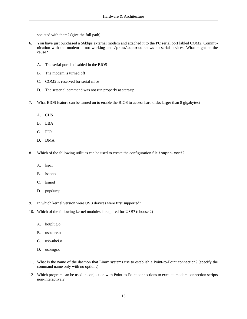sociated with them? (give the full path)

- 6. You have just purchased a 56kbps external modem and attached it to the PC serial port labled COM2. Communication with the modem is not working and /proc/ioports shows no serial devices. What might be the cause?
	- A. The serial port is disabled in the BIOS
	- B. The modem is turned off
	- C. COM2 is reserved for serial mice
	- D. The setserial command was not run properly at start-up
- 7. What BIOS feature can be turned on to enable the BIOS to access hard disks larger than 8 gigabytes?
	- A. CHS
	- B. LBA
	- C. PIO
	- D. DMA
- 8. Which of the following utilities can be used to create the configuration file isapnp.conf?
	- A. lspci
	- B. isapnp
	- C. lsmod
	- D. pnpdump
- 9. In which kernel version were USB devices were first supported?
- 10. Which of the following kernel modules is required for USB? (choose 2)
	- A. hotplug.o
	- B. usbcore.o
	- C. usb-uhci.o
	- D. usbmgr.o
- 11. What is the name of the daemon that Linux systems use to establish a Point-to-Point connection? (specify the command name only with no options)
- 12. Which program can be used in conjuction with Point-to-Point connections to execute modem connection scripts non-interactively.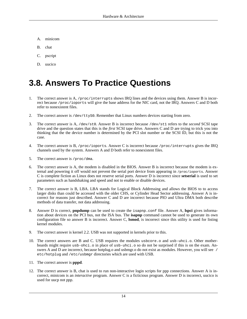- A. minicom
- B. chat
- C. pscript
- D. uucico

### <span id="page-19-0"></span>**3.8. Answers To Practice Questions**

- 1. The correct answer is A, /proc/interrupts shows IRQ lines and the devices using them. Answer B is incorrect because /proc/ioports will give the base address for the NIC card, not the IRQ. Answers C and D both refer to nonexistent files.
- 2. The correct answer is /dev/ttyS0. Remember that Linux numbers devices starting from zero.
- 3. The correct answer is A, /dev/st0. Answer B is incorrect because /dev/st1 refers to the *second* SCSI tape drive and the question states that this is the *first* SCSI tape drive. Answers C and D are trying to trick you into thinking that the the device number is determined by the PCI slot number or the SCSI ID, but this is not the case.
- 4. The correct answer is B, /proc/ioports. Answer C is incorrect because /proc/interrupts gives the IRQ channels used by the system. Answers A and D both refer to nonexistent files.
- 5. The correct answer is /proc/dma.
- 6. The correct answer is A, the modem is disabled in the BIOS. Answer B is incorrect because the modem is external and powering it off would not prevent the serial port device from appearing in /proc/ioports. Answer C is complete fiction as Linux does not reserve serial ports. Answer D is incorrect since **setserial** is used to set parameters such as handshaking and speed and not to enable or disable devices.
- 7. The correct answer is B, LBA. LBA stands for Logical Block Addressing and allows the BIOS to to access larger disks than could be accessed with the older CHS, or Cylinder Head Sector addressing. Answer A is incorrect for reasons just described. Answer C and D are incorrect because PIO and Ultra DMA both describe methods of data transfer, not data addressing.
- 8. Answer D is correct, **pnpdump** can be used to create the isapnp.conf file. Answer A, **lspci** gives information about devices on the PCI bus, not the ISA bus. The **isapnp** command cannot be used to generate its own configuration file so answer B is incorrect. Answer C, **lsmod**, is incorrect since this utility is used for listing kernel modules.
- 9. The correct answer is kernel 2.2. USB was not supported in kernels prior to this.
- 10. The correct answers are B and C. USB requires the modules usbcore.o and usb-uhci.o. Other motherboards might require usb-ohci.o in place of usb-uhci.o so do not be surprised if this is on the exam. Answers A and D are incorrect, because hotplug.o and usbmgr.o do not exist as modules. However, you will see / etc/hotplug and /etc/usbmgr directories which are used with USB.
- 11. The correct answer is **pppd**.
- 12. The correct answer is B, chat is used to run non-interactive login scripts for ppp connections. Answer A is incorrect, minicom is an *interactive* program. Answer C is a ficticious program. Answer D is incorrect, uucico is used for uucp not ppp.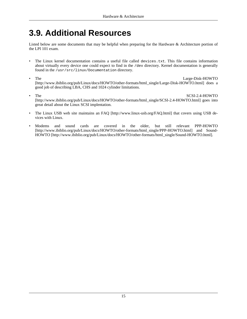### <span id="page-20-0"></span>**3.9. Additional Resources**

Listed below are some documents that may be helpful when preparing for the Hardware & Architecture portion of the LPI 101 exam.

- The Linux kernel documentation contains a useful file called devices.txt. This file contains information about virtually every device one could expect to find in the /dev directory. Kernel documentation is generally found in the /usr/src/linux/Documentation directory.
- The [Large-Disk-HOWTO](http://www.ibiblio.org/pub/Linux/docs/HOWTO/other-formats/html_single/Large-Disk-HOWTO.html) [http://www.ibiblio.org/pub/Linux/docs/HOWTO/other-formats/html\_single/Large-Disk-HOWTO.html] does a good job of describing LBA, CHS and 1024 cylinder limitations.
- The [SCSI-2.4-HOWTO](http://www.ibiblio.org/pub/Linux/docs/HOWTO/other-formats/html_single/SCSI-2.4-HOWTO.html) [http://www.ibiblio.org/pub/Linux/docs/HOWTO/other-formats/html\_single/SCSI-2.4-HOWTO.html] goes into great detail about the Linux SCSI implentation.
- The Linux USB web site maintains an [FAQ](http://www.linux-usb.org/FAQ.html) [http://www.linux-usb.org/FAQ.html] that covers using USB devices with Linux.
- Modems and sound cards are covered in the older, but still relevant [PPP-HOWTO](http://www.ibiblio.org/pub/Linux/docs/HOWTO/other-formats/html_single/PPP-HOWTO.html) [http://www.ibiblio.org/pub/Linux/docs/HOWTO/other-formats/html\_single/PPP-HOWTO.html] and Sound-[HOWTO](http://www.ibiblio.org/pub/Linux/docs/HOWTO/other-formats/html_single/Sound-HOWTO.html) [http://www.ibiblio.org/pub/Linux/docs/HOWTO/other-formats/html\_single/Sound-HOWTO.html].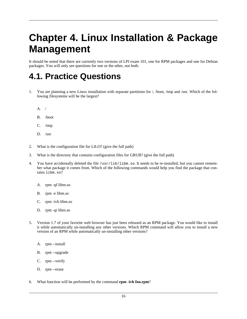## **Chapter 4. Linux Installation & Package Management**

It should be noted that there are currently two versions of LPI exam 101, one for RPM packages and one for Debian packages. You will only see questions for one or the other, not both.

#### <span id="page-21-0"></span>**4.1. Practice Questions**

- 1. You are planning a new Linux installation with separate partitions for /, /boot, /tmp and /usr. Which of the following filesystems will be the largest?
	- A. /
	- B. /boot
	- C. /tmp
	- D. /usr
- 2. What is the configuration file for LILO? (give the full path)
- 3. What is the directory that contains configuration files for GRUB? (give the full path)
- 4. You have accidentally deleted the file /usr/lib/libm.so. It needs to be re-installed, but you cannot remember what package it comes from. Which of the following commands would help you find the package that contains libm.so?
	- A. rpm -qf libm.so
	- B. rpm -e libm.so
	- C. rpm -ivh libm.so
	- D. rpm -qi libm.so
- 5. Version 1.7 of your favorite web browser has just been released as an RPM package. You would like to install it while automatically un-installing any other versions. Which RPM command will allow you to install a new version of an RPM while automatically un-installing other versions?
	- A. rpm --install
	- B. rpm --upgrade
	- C. rpm --verify
	- D. rpm --erase
- 6. What function will be performed by the command **rpm -ivh foo.rpm**?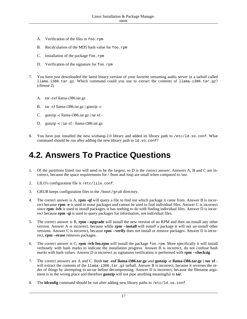- A. Verification of the files in foo.rpm
- B. Recalculation of the MD5 hash value for foo.rpm
- C. Installation of the package foo.rpm
- D. Verification of the signature for foo.rpm
- 7. You have just downloaded the latest binary version of your favorite streaming audio server in a tarball called llama-i386.tar.gz. Which command could you use to extract the contents of llama-i386.tar.gz? (choose 2)
	- A. tar -zxf llama-i386.tar.gz
	- B. tar -xf llama-i386.tar.gz | gunzip -c
	- C. gunzip -c llama-i386.tar.gz | tar xf -
	- D. gunzip -c | tar xf llama-i386.tar.gz
- 8. You have just installed the new wizbang-2.0 library and added its library path to /etc/ld.so.conf. What command should be run after adding the new library path to  $1d$ .so.conf?

### <span id="page-22-0"></span>**4.2. Answers To Practice Questions**

- 1. Of the partitions listed /usr will need to be the largest, so D is the correct answer. Answers A, B and C are incorrect, because the space requirements for / /boot and /tmp are small when compared to /usr.
- 2. LILO's configuration file is /etc/lilo.conf.
- 3. GRUB keeps configuration files in the /boot/grub directory.
- 4. The correct answer is A, **rpm -qf** will query a file to find out which package it came from. Answer B is incorrect because **rpm -e** is used to erase packages and cannot be used to find individual files. Answer C is incorrect since **rpm -ivh** is used to install packages, it has nothing to do with finding individual files. Answer D is incorrect because **rpm -qi** is used to query packages for information, not individual files.
- 5. The correct answer is B, **rpm --upgrade** will install the new version of an RPM and then un-install any other version. Answer A is incorrect, because while **rpm --install** will *install* a package it will not *un-install* other versions. Answer C is incorrect, because **rpm --verify** does not install or remove packages. Answer D is incorrect, **rpm --erase** removes packages.
- 6. The correct answer is C, **rpm -ivh foo.rpm** will install the package foo.rpm. More specifically it will install verbosely with hash marks to indicate the installation progress. Answer B is incorrect, do not confuse hash *marks* with hash *values*. Answer D is incorrect as signatures verification is performed with **rpm --checksig**.
- 7. The correct answers are A and C. Both **tar -zxf llama-i386.tar.gz** and **gunzip -c llama-i386.tar.gz | tar xf**  will extract the contents of the llama-i386.tar.gz tarball. Answer B is incorrect, because it reverses the order of things by attempting to un-tar before decompressing. Answer D is incorrect, because the filename argument is in the wrong place and therefore **gunzip** will not pipe anything meaningful to **tar**.
- 8. The **ldconfig** command should be run after adding new library paths to /etc/ld.so.conf.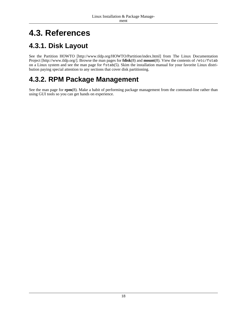## <span id="page-23-0"></span>**4.3. References**

#### <span id="page-23-1"></span>**4.3.1. Disk Layout**

See the [Partition HOWTO](http://www.tldp.org/HOWTO/Partition/index.html) [http://www.tldp.org/HOWTO/Partition/index.html] from [The Linux Documentation](http://www.tldp.org/) [Project](http://www.tldp.org/) [http://www.tldp.org/]. Browse the man pages for **fdisk**(8) and **mount**(8). View the contents of /etc/fstab on a Linux system and see the man page for fstab(5). Skim the installation manual for your favorite Linux distribution paying special attention to any sections that cover disk partitioning.

#### <span id="page-23-2"></span>**4.3.2. RPM Package Management**

See the man page for **rpm**(8). Make a habit of performing package management from the command-line rather than using GUI tools so you can get hands on experience.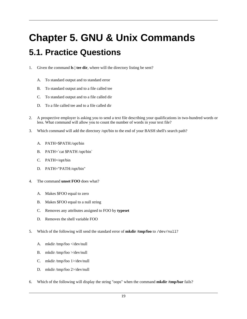# <span id="page-24-0"></span>**Chapter 5. GNU & Unix Commands 5.1. Practice Questions**

- 1. Given the command **ls | tee dir**, where will the directory listing be sent?
	- A. To standard output and to standard error
	- B. To standard output and to a file called tee
	- C. To standard output and to a file called dir
	- D. To a file called tee and to a file called dir
- 2. A prospective employer is asking you to send a text file describing your qualifications in two-hundred words or less. What command will allow you to count the number of words in your text file?
- 3. Which command will add the directory /opt/bin to the end of your BASH shell's search path?
	- A. PATH=\$PATH:/opt/bin
	- B. PATH=`cat \$PATH /opt/bin`
	- C. PATH=/opt/bin
	- D. PATH="PATH:/opt/bin"
- 4. The command **unset FOO** does what?
	- A. Makes \$FOO equal to zero
	- B. Makes \$FOO equal to a null string
	- C. Removes any attributes assigned to FOO by **typeset**
	- D. Removes the shell variable FOO
- 5. Which of the following will send the standard error of **mkdir /tmp/foo** to /dev/null?
	- A. mkdir /tmp/foo </dev/null
	- B. mkdir /tmp/foo >/dev/null
	- C. mkdir /tmp/foo 1>/dev/null
	- D. mkdir /tmp/foo 2>/dev/null
- 6. Which of the following will display the string "oops" when the command **mkdir /tmp/bar** fails?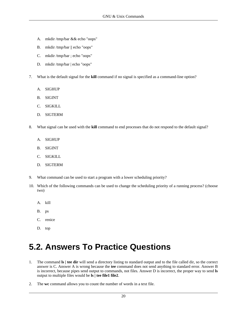- A. mkdir /tmp/bar && echo "oops"
- B. mkdir /tmp/bar || echo "oops"
- C. mkdir /tmp/bar ; echo "oops"
- D. mkdir /tmp/bar | echo "oops"
- 7. What is the default signal for the **kill** command if no signal is specified as a command-line option?
	- A. SIGHUP
	- B. SIGINT
	- C. SIGKILL
	- D. SIGTERM
- 8. What signal can be used with the **kill** command to end processes that do not respond to the default signal?
	- A. SIGHUP
	- B. SIGINT
	- C. SIGKILL
	- D. SIGTERM
- 9. What command can be used to start a program with a lower scheduling priority?
- 10. Which of the following commands can be used to change the scheduling priority of a running process? (choose two)
	- A. kill
	- B. ps
	- C. renice
	- D. top

### <span id="page-25-0"></span>**5.2. Answers To Practice Questions**

- 1. The command **ls | tee dir** will send a directory listing to standard output and to the file called dir, so the correct answer is C. Answer A is wrong because the **tee** command does not send anything to standard error. Answer B is incorrect, because pipes send output to commands, not files. Answer D is incorrect, the proper way to send **ls** output to multiple files would be **ls | tee file1 file2**.
- 2. The **wc** command allows you to count the number of words in a text file.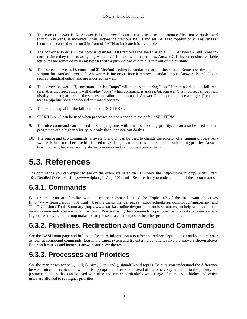- 3. The correct answer is A. Answer B is incorrect because **cat** is used to concatenate files, not variables and strings. Answer C is incorrect, it will ingore the previous PATH and set PATH to /opt/bin only. Answer D is incorrect because there is no \$ in front of PATH to indicate it is a variable.
- 4. The correct answer is D, the command **unset FOO** removes the shell variable FOO. Answers A and B are incorrect since they refer to assigning values which is not what unset does. Answer C is incorrect since variable attributes are removed by using **typeset** with a plus instead of a minus in front of the attribute.
- 5. The correct answer is D, **command 2>/dev/null** redirects standard error to /dev/null. Remember the file descriptor for standard error is 2. Answer A is incorrect since it redirects standard input. Answers B and C both redirect standard output and are incorrect as well.
- 6. The correct answer is B, **command || echo "oops"** will display the string "oops" if command should fail. Answer A is incorrect since it will display "oops" when command is *successful*. Answer C is incorrect since it wil display "oops regardless of the success or failure of command. Answer D is incorrect, since a single "|" character is a pipeline not a compound command operator.
- 7. The default signal for the **kill** command is SIGTERM.
- 8. SIGKILL or -9 can be used when processes do not respond to the default SEGTERM.
- 9. The **nice** command can be used to start programs with lower scheduling priority. It can also be used to start programs with a higher priority, but only the superuser can do this.
- 10. The **renice** and **top** commands, answers C and D, can be used to change the priority of a running process. Answer A is incorrect, because **kill** is used to send signals to a process not change its scheduling priority. Answer B is incorrect, because **ps** only shows processes and cannot manipulate them.

### <span id="page-26-0"></span>**5.3. References**

The commands you can expect to see on the exam are listed on [LPI's web site](http://www.lpi.org/) [http://www.lpi.org/] under [Exam](http://www.lpi.org/en/obj_101.html) [101: Detailed Objectives](http://www.lpi.org/en/obj_101.html) [http://www.lpi.org/en/obj\_101.html]. Be sure that you understand all of these commands.

#### <span id="page-26-1"></span>**5.3.1. Commands**

Be sure that you are familiar with all of the commands listed for Topic 103 of the [101 exam objectives](http://www.lpi.org/en/obj_101.html) [http://www.lpi.org/en/obj\_101.html]. Use the [Linux manual pages](http://techpubs.sgi.com/tpl.cgi/linux/man/) [http://techpubs.sgi.com/tpl.cgi/linux/man/] and [The GNU Linux Tools Summary](http://www.karakas-online.de/gnu-linux-tools-summary/) [http://www.karakas-online.de/gnu-linux-tools-summary/] to help you learn about various commands you are unfamiliar with. Practice using the commands to perform various tasks on your system. If you are studying in a group make up sample tasks as challenges to the other group members.

#### <span id="page-26-2"></span>**5.3.2. Pipelines, Redirection and Compound Commands**

See the BASH man page and info page for more information about how to redirect input, output and standard error as well as compound commands. Log into a Linux sytem and try entering commands like the answers shown above. Enter both correct and incorrect answers and view the results.

#### <span id="page-26-3"></span>**5.3.3. Processes and Priorities**

See the man pages for  $ps(1)$ ,  $kill(1)$ ,  $nice(1)$ ,  $renice(1)$ ,  $signal(7)$  and  $top(1)$ . Be sure you understand the difference between **nice** and **renice** and when it is appropriate to use one instead of the other. Pay attention to the priority adjustment numbers that can be used with **nice** and **renice** particularly what range of numbers is higher and which users are allowed to set higher priorities.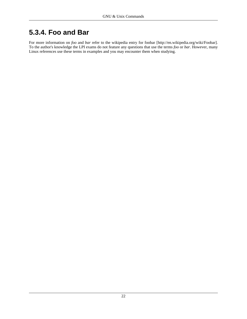#### <span id="page-27-0"></span>**5.3.4. Foo and Bar**

For more information on *foo* and *bar* refer to the [wikipedia entry for foobar](http://en.wikipedia.org/wiki/Foobar) [http://en.wikipedia.org/wiki/Foobar]. To the author's knowledge the LPI exams do not feature any questions that use the terms *foo* or *bar*. However, many Linux references use these terms in examples and you may encounter them when studying.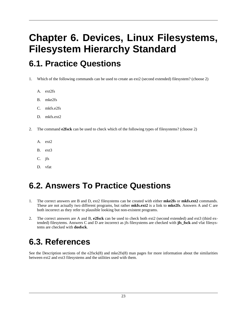## **Chapter 6. Devices, Linux Filesystems, Filesystem Hierarchy Standard**

### <span id="page-28-0"></span>**6.1. Practice Questions**

- 1. Which of the following commands can be used to create an ext2 (second extended) filesystem? (choose 2)
	- A. ext2fs
	- B. mke2fs
	- C. mkfs.e2fs
	- D. mkfs.ext2
- 2. The command **e2fsck** can be used to check which of the following types of filesystems? (choose 2)
	- A. ext2
	- B. ext3
	- C. jfs
	- D. vfat

### <span id="page-28-1"></span>**6.2. Answers To Practice Questions**

- 1. The correct answers are B and D, ext2 filesystems can be created with either **mke2fs** or **mkfs.ext2** commands. These are not actually two different programs, but rather **mkfs.ext2** is a link to **mke2fs**. Answers A and C are both incorrect as they refer to plausible looking but non-existent programs.
- 2. The correct answers are A and B, **e2fsck** can be used to check both ext2 (second extended) and ext3 (third extended) filesytems. Answers C and D are incorrect as jfs filesystems are checked with **jfs\_fsck** and vfat filesystems are checked with **dosfsck**.

#### <span id="page-28-2"></span>**6.3. References**

See the Description sections of the e2fsck(8) and mke2fs(8) man pages for more information about the similarities between ext2 and ext3 filesystems and the utilities used with them.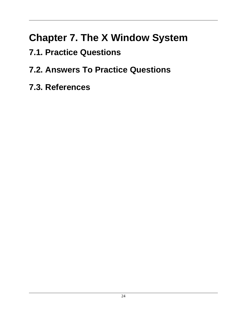## **Chapter 7. The X Window System**

<span id="page-29-0"></span>**7.1. Practice Questions**

## <span id="page-29-1"></span>**7.2. Answers To Practice Questions**

<span id="page-29-2"></span>**7.3. References**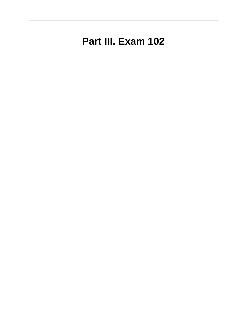## **Part III. Exam 102**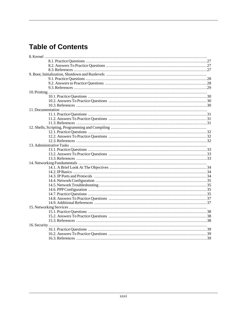#### **Table of Contents**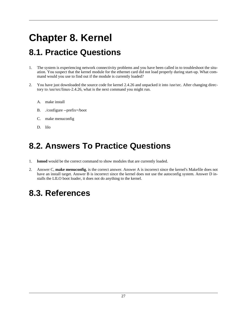## **Chapter 8. Kernel**

### <span id="page-32-0"></span>**8.1. Practice Questions**

- 1. The system is experiencing network connectivity problems and you have been called in to troubleshoot the situation. You suspect that the kernel module for the ethernet card did not load properly during start-up. What command would you use to find out if the module is currently loaded?
- 2. You have just downloaded the source code for kernel 2.4.26 and unpacked it into /usr/src. After changing directory to /usr/src/linux-2.4.26, what is the next command you might run.
	- A. make install
	- B. ./configure --prefix=/boot
	- C. make menuconfig
	- D. lilo

### <span id="page-32-1"></span>**8.2. Answers To Practice Questions**

- 1. **lsmod** would be the correct command to show modules that are currently loaded.
- 2. Answer C, **make menuconfig**, is the correct answer. Answer A is incorrect since the kernel's Makefile does not have an install target. Answer B is incorrect since the kernel does not use the autoconfig system. Answer D installs the LILO boot loader, it does not do anything to the kernel.

## <span id="page-32-2"></span>**8.3. References**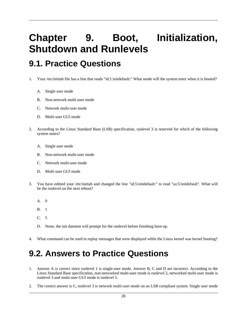## **Chapter 9. Boot, Initialization, Shutdown and Runlevels**

### <span id="page-33-0"></span>**9.1. Practice Questions**

1. Your /etc/inittab file has a line that reads "id:1:initdefault:" What mode will the system enter when it is booted?

- A. Single user mode
- B. Non-network multi-user mode
- C. Network multi-user mode
- D. Multi-user GUI mode
- 2. According to the Linux Standard Base (LSB) specification, runlevel 3 is reserved for which of the following system states?
	- A. Single user mode
	- B. Non-network multi-user mode
	- C. Network multi-user mode
	- D. Multi-user GUI mode
- 3. You have editted your /etc/inittab and changed the line "id:5:initdefault:" to read "su:5:initdefault". What will be the runlevel on the next reboot?
	- A. 0
	- B. 1
	- C. 5
	- D. None, the init daemon will prompt for the runlevel before finishing boot-up.
- 4. What command can be used to replay messages that were displayed while the Linux kernel was kernel booting?

### <span id="page-33-1"></span>**9.2. Answers to Practice Questions**

- 1. Answer A is correct since runlevel 1 is single-user mode. Answer B, C and D are incorrect. According to the Linux Standard Base specification, non-networked multi-user mode is runlevel 2, networked multi-user mode is runlevel 3 and multi-user GUI mode is runlevel 5.
- 2. The correct answer is C, runlevel 3 is network multi-user mode on an LSB compliant system. Single user mode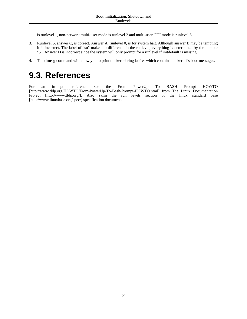is runlevel 1, non-network multi-user mode is runlevel 2 and multi-user GUI mode is runlevel 5.

- 3. Runlevel 5, answer C, is correct. Answer A, runlevel 0, is for system halt. Although answer B may be tempting it is incorrect. The label of "su" makes no difference in the runlevel, everything is determined by the number "5". Answer D is incorrect since the system will only prompt for a runlevel if initdefault is missing.
- 4. The **dmesg** command will allow you to print the kernel ring-buffer which contains the kernel's boot messages.

#### <span id="page-34-0"></span>**9.3. References**

For an in-depth reference see the [From PowerUp To BASH Prompt HOWTO](http://www.tldp.org/HOWTO/From-PowerUp-To-Bash-Prompt-HOWTO.html) [http://www.tldp.org/HOWTO/From-PowerUp-To-Bash-Prompt-HOWTO.html] from [The Linux Documentation](http://www.tldp.org/) [Project](http://www.tldp.org/) [http://www.tldp.org/]. Also skim the run levels section of the [linux standard base](http://www.linuxbase.org/spec/) [http://www.linuxbase.org/spec/] specification document.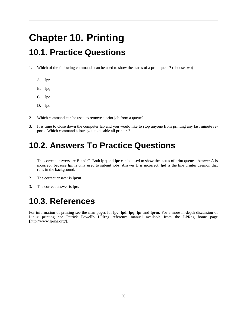## **Chapter 10. Printing**

## <span id="page-35-0"></span>**10.1. Practice Questions**

- 1. Which of the following commands can be used to show the status of a print queue? (choose two)
	- A. lpr
	- B. lpq
	- C. lpc
	- D. lpd
- 2. Which command can be used to remove a print job from a queue?
- 3. It is time to close down the computer lab and you would like to stop anyone from printing any last minute reports. Which command allows you to disable all printers?

## <span id="page-35-1"></span>**10.2. Answers To Practice Questions**

- 1. The correct answers are B and C. Both **lpq** and **lpc** can be used to show the status of print queues. Answer A is incorrect, because **lpr** is only used to submit jobs. Answer D is incorrect, **lpd** is the line printer daemon that runs in the background.
- 2. The correct answer is **lprm**.
- 3. The correct answer is **lpc**.

## <span id="page-35-2"></span>**10.3. References**

For information of printing see the man pages for **lpc**, **lpd**, **lpq**, **lpr** and **lprm**. For a more in-depth discussion of Linux printing see Patrick Powell's LPRng reference manual available from the [LPRng home page](http://www.lprng.org/) [http://www.lprng.org/].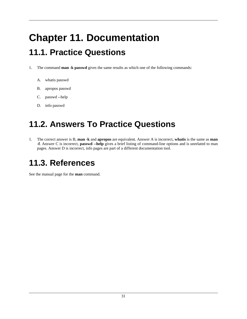## **Chapter 11. Documentation**

### <span id="page-36-0"></span>**11.1. Practice Questions**

- 1. The command **man -k passwd** gives the same results as which one of the following commands:
	- A. whatis passwd
	- B. apropos passwd
	- C. passwd --help
	- D. info passwd

## <span id="page-36-1"></span>**11.2. Answers To Practice Questions**

1. The correct answer is B, **man -k** and **apropos** are equivalent. Answer A is incorrect, **whatis** is the same as **man -f**. Answer C is incorrect, **passwd --help** gives a brief listing of command-line options and is unrelated to man pages. Answer D is incorrect, info pages are part of a different documentation tool.

### <span id="page-36-2"></span>**11.3. References**

See the manual page for the **man** command.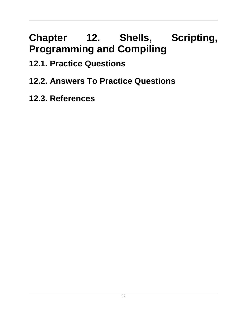# **Chapter 12. Shells, Scripting, Programming and Compiling**

- <span id="page-37-0"></span>**12.1. Practice Questions**
- <span id="page-37-1"></span>**12.2. Answers To Practice Questions**
- <span id="page-37-2"></span>**12.3. References**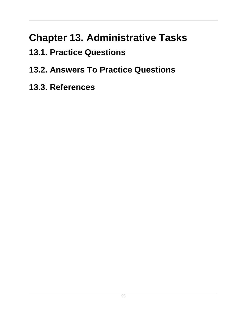## **Chapter 13. Administrative Tasks**

- <span id="page-38-0"></span>**13.1. Practice Questions**
- <span id="page-38-1"></span>**13.2. Answers To Practice Questions**
- <span id="page-38-2"></span>**13.3. References**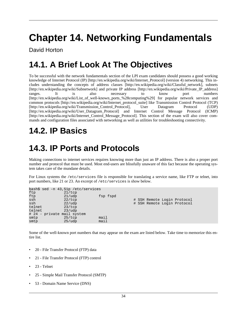## **Chapter 14. Networking Fundamentals**

David Horton

## <span id="page-39-0"></span>**14.1. A Brief Look At The Objectives**

To be successful with the network fundamentals section of the LPI exam candidates should possess a good working knowledge of [Internet Protocol \(IP\)](http://en.wikipedia.org/wiki/Internet_Protocol) [http://en.wikipedia.org/wiki/Internet Protocol] (version 4) networking. This includes understanding the concepts of [address classes](http://en.wikipedia.org/wiki/Classful_network) [http://en.wikipedia.org/wiki/Classful\_network], [subnets](http://en.wikipedia.org/wiki/Subnetwork) [http://en.wikipedia.org/wiki/Subnetwork] and [private IP address](http://en.wikipedia.org/wiki/Private_IP_address) [http://en.wikipedia.org/wiki/Private\_IP\_address] ranges. It is also necessary to know [port numbers](http://en.wikipedia.org/wiki/List_of_well-known_ports_%28computing%29) [http://en.wikipedia.org/wiki/List of well-known ports %28computing%29] for popular network services and common [protocols](http://en.wikipedia.org/wiki/Internet_protocol_suite) [http://en.wikipedia.org/wiki/Internet\_protocol\_suite] like [Transmission Control Protocol \(TCP\)](http://en.wikipedia.org/wiki/Transmission_Control_Protocol) [http://en.wikipedia.org/wiki/Transmission\_Control\_Protocol], [User Datagram Protocol \(UDP\)](http://en.wikipedia.org/wiki/User_Datagram_Protocol) [http://en.wikipedia.org/wiki/User\_Datagram\_Protocol] and [Internet Control Message Protocol \(ICMP\)](http://en.wikipedia.org/wiki/Internet_Control_Message_Protocol) [http://en.wikipedia.org/wiki/Internet\_Control\_Message\_Protocol]. This section of the exam will also cover commands and configuration files associated with networking as well as utilities for troubleshooting connectivity.

### <span id="page-39-1"></span>**14.2. IP Basics**

## <span id="page-39-2"></span>**14.3. IP Ports and Protocols**

Making connections to internet services requires knowing more than just an IP address. There is also a proper port number and protocol that must be used. Most end-users are blissfully unaware of this fact because the operating system takes care of the mundane details.

For Linux systems the /etc/services file is responsible for translating a service name, like FTP or telnet, into port numbers, like 21 or 23. An excerpt of /etc/services is show below.

|        | bash\$ sed -n 43,51p /etc/services |      |          |  |  |                             |  |
|--------|------------------------------------|------|----------|--|--|-----------------------------|--|
| ftp    | 21/top                             |      |          |  |  |                             |  |
| ftp    | 21/udp                             |      | fsp fspd |  |  |                             |  |
| ssh    | 22/top                             |      |          |  |  | # SSH Remote Login Protocol |  |
| ssh    | 22/udp                             |      |          |  |  | # SSH Remote Login Protocol |  |
| telnet | 23/top                             |      |          |  |  |                             |  |
| telnet | 23/udp                             |      |          |  |  |                             |  |
|        | # 24 - private mail system         |      |          |  |  |                             |  |
| smtp   | 25/top                             | mail |          |  |  |                             |  |
| smtp   | 25/udp                             | mail |          |  |  |                             |  |
|        |                                    |      |          |  |  |                             |  |

Some of the well-known port numbers that may appear on the exam are listed below. Take time to memorize this entire list.

- 20 File Transfer Protocol (FTP) data
- 21 File Transfer Protocol (FTP) control
- 23 Telnet
- 25 Simple Mail Transfer Protocol (SMTP)
- 53 Domain Name Service (DNS)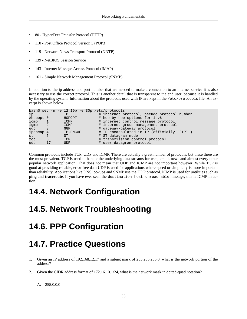- 80 HyperText Transfer Protocol (HTTP)
- 110 Post Office Protocol version 3 (POP3)
- 119 Network News Transport Protocol (NNTP)
- 139 NetBIOS Session Service
- 143 Internet Message Access Protocol (IMAP)
- 161 Simple Network Management Protocol (SNMP)

In addition to the ip address and port number that are needed to make a connection to an internet service it is also necessary to use the correct protocol. This is another detail that is transparent to the end user, because it is handled by the operating system. Information about the protocols used with IP are kept in the /etc/protocols file. An excerpt is shown below.

```
bash$ sed -n -e 12,19p -e 30p /etc/protocols
ip 0 IP # internet protocol, pseudo protocol number<br>#hopopt 0 HOPOPT # hop-by-hop options for ipv6
#hopopt 0 HOPOPT # hop-by-hop options for ipv6<br>icmp 1 ICMP # internet control message pr
         icmp 1 1 ICMP # internet control message protocol 2 1 IGMP # internet group management protocol
igmp 2 IGMP # internet group management protocol<br>qqp 3 GGP # qateway-qateway protocol
ggp 3 GGP # gateway-gateway protocol<br>ipencap 4 IP-ENCAP # IP encapsulated in IP (o
                                        # IP encapsulated in IP (officially ``IP'')
st 5 ST # ST datagram mode<br>
tcp 6 TCP # transmission con
tcp 6 TCP # transmission control protocol<br>udp 17 UDP # user datagram protocol
udp 17 UDP # user datagram protocol
```
Common protocols include TCP, UDP and ICMP. There are actually a great number of protocols, but these three are the most prevalent. TCP is used to handle the underlying data streams for web, email, news and almost every other popular network application. That does not mean that UDP and ICMP are not important however. While TCP is good at providing reliable, error-free data UDP is used for applications where speed or simplicity is more important than reliability. Applications like DNS lookups and SNMP use the UDP protocol. ICMP is used for untilities such as **ping** and **traceroute**. If you have ever seen the destination host unreachable message, this is ICMP in action.

### <span id="page-40-0"></span>**14.4. Network Configuration**

### <span id="page-40-1"></span>**14.5. Network Troubleshooting**

### <span id="page-40-2"></span>**14.6. PPP Configuration**

## <span id="page-40-3"></span>**14.7. Practice Questions**

- 1. Given an IP address of 192.168.12.17 and a subnet mask of 255.255.255.0, what is the network portion of the address?
- 2. Given the CIDR address format of 172.16.10.1/24, what is the network mask in dotted-quad notation?

A. 255.0.0.0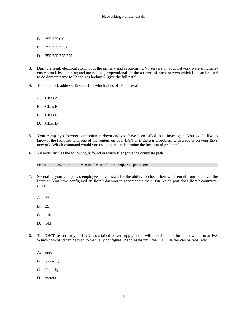- B. 255.255.0.0
- C. 255.255.255.0
- D. 255.255.255.255
- 3. During a freak electrical storm both the primary and secondary DNS servers on your network were simultaneously struck by lightning and are no longer operational. In the absense of name servers which file can be used to do domain name to IP address lookups? (give the full path)
- 4. The loopback address, 127.0.0.1, is which class of IP address?
	- A. Class A
	- B. Class B
	- C. Class C
	- D. Class D
- 5. Your company's Internet connection is down and you have been called in to investigate. You would like to know if the fault lies with one of the routers on your LAN or if there is a problem with a router on your ISP's network. Which command would you use to quickly determine the location of problem?
- 6. An entry such as the following is found in which file? (give the complete path)

smtp 25/tcp # simple mail transport protocol

- 7. Several of your company's employees have asked for the ability to check their work email from home via the Internet. You have configured an IMAP daemon to accomodate them. On which port does IMAP communicate?
	- A. 23
	- B. 25
	- C. 110
	- D. 143
- 8. The DHCP server for your LAN has a failed power supply and it will take 24 hours for the new part to arrive. Which command can be used to manually configure IP addresses until the DHCP server can be repaired?
	- A. netstat
	- B. ipconfig
	- C. ifconfig
	- D. inetcfg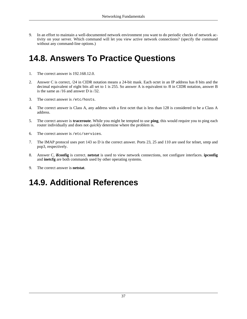9. In an effort to maintain a well-documented network environment you want to do periodic checks of network activity on your server. Which command will let you view active network connections? (specify the command without any command-line options.)

### <span id="page-42-0"></span>**14.8. Answers To Practice Questions**

- 1. The correct answer is 192.168.12.0.
- 2. Answer C is correct, /24 in CIDR notation means a 24-bit mask. Each octet in an IP address has 8 bits and the decimal equivalent of eight bits all set to 1 is 255. So answer A is equivalent to /8 in CIDR notation, answer B is the same as /16 and answer D is /32.
- 3. The correct answer is /etc/hosts.
- 4. The correct answer is Class A, any address with a first octet that is less than 128 is considered to be a Class A address.
- 5. The correct answer is **traceroute**. While you might be tempted to use **ping**, this would require you to ping each router individually and does not *quickly* determine where the problem is.
- 6. The correct answer is /etc/services.
- 7. The IMAP protocol uses port 143 so D is the correct answer. Ports 23, 25 and 110 are used for telnet, smtp and pop3, respectively.
- 8. Answer C, **ifconfig** is correct. **netstat** is used to view network connections, not configure interfaces. **ipconfig** and **inetcfg** are both commands used by other operating systems.
- 9. The correct answer is **netstat**.

### <span id="page-42-1"></span>**14.9. Additional References**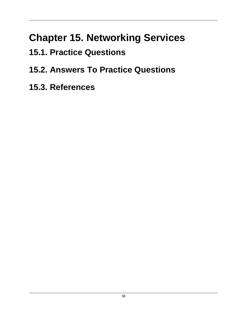## **Chapter 15. Networking Services**

- <span id="page-43-0"></span>**15.1. Practice Questions**
- <span id="page-43-1"></span>**15.2. Answers To Practice Questions**
- <span id="page-43-2"></span>**15.3. References**